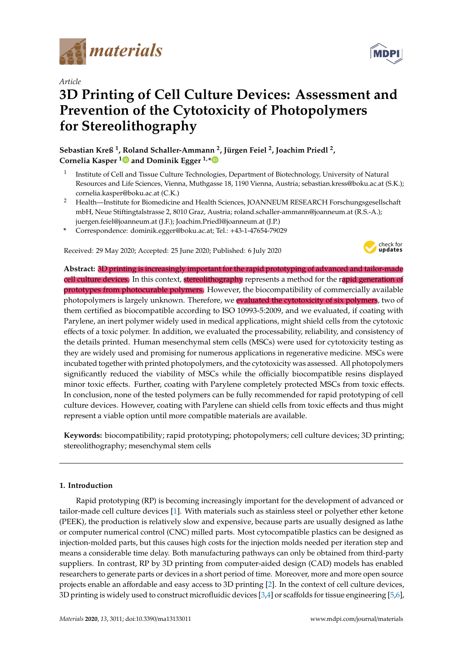

*Article*

# **3D Printing of Cell Culture Devices: Assessment and Prevention of the Cytotoxicity of Photopolymers for Stereolithography**

**Sebastian Kreß <sup>1</sup> , Roland Schaller-Ammann <sup>2</sup> , Jürgen Feiel <sup>2</sup> , Joachim Priedl <sup>2</sup> , Cornelia Kasper [1](https://orcid.org/0000-0003-2607-4326) and Dominik Egger 1,[\\*](https://orcid.org/0000-0002-9925-3344)**

- 1 Institute of Cell and Tissue Culture Technologies, Department of Biotechnology, University of Natural Resources and Life Sciences, Vienna, Muthgasse 18, 1190 Vienna, Austria; sebastian.kress@boku.ac.at (S.K.); cornelia.kasper@boku.ac.at (C.K.)
- <sup>2</sup> Health—Institute for Biomedicine and Health Sciences, JOANNEUM RESEARCH Forschungsgesellschaft mbH, Neue Stiftingtalstrasse 2, 8010 Graz, Austria; roland.schaller-ammann@joanneum.at (R.S.-A.); juergen.feiel@joanneum.at (J.F.); Joachim.Priedl@joanneum.at (J.P.)
- **\*** Correspondence: dominik.egger@boku.ac.at; Tel.: +43-1-47654-79029

Received: 29 May 2020; Accepted: 25 June 2020; Published: 6 July 2020



**Abstract:** 3D printing is increasingly important for the rapid prototyping of advanced and tailor-made cell culture devices. In this context, stereolithography represents a method for the rapid generation of prototypes from photocurable polymers. However, the biocompatibility of commercially available photopolymers is largely unknown. Therefore, we evaluated the cytotoxicity of six polymers, two of them certified as biocompatible according to ISO 10993-5:2009, and we evaluated, if coating with Parylene, an inert polymer widely used in medical applications, might shield cells from the cytotoxic effects of a toxic polymer. In addition, we evaluated the processability, reliability, and consistency of the details printed. Human mesenchymal stem cells (MSCs) were used for cytotoxicity testing as they are widely used and promising for numerous applications in regenerative medicine. MSCs were incubated together with printed photopolymers, and the cytotoxicity was assessed. All photopolymers significantly reduced the viability of MSCs while the officially biocompatible resins displayed minor toxic effects. Further, coating with Parylene completely protected MSCs from toxic effects. In conclusion, none of the tested polymers can be fully recommended for rapid prototyping of cell culture devices. However, coating with Parylene can shield cells from toxic effects and thus might represent a viable option until more compatible materials are available.

**Keywords:** biocompatibility; rapid prototyping; photopolymers; cell culture devices; 3D printing; stereolithography; mesenchymal stem cells

# **1. Introduction**

Rapid prototyping (RP) is becoming increasingly important for the development of advanced or tailor-made cell culture devices [\[1\]](#page-7-0). With materials such as stainless steel or polyether ether ketone (PEEK), the production is relatively slow and expensive, because parts are usually designed as lathe or computer numerical control (CNC) milled parts. Most cytocompatible plastics can be designed as injection-molded parts, but this causes high costs for the injection molds needed per iteration step and means a considerable time delay. Both manufacturing pathways can only be obtained from third-party suppliers. In contrast, RP by 3D printing from computer-aided design (CAD) models has enabled researchers to generate parts or devices in a short period of time. Moreover, more and more open source projects enable an affordable and easy access to 3D printing [\[2\]](#page-7-1). In the context of cell culture devices, 3D printing is widely used to construct microfluidic devices [\[3,](#page-7-2)[4\]](#page-7-3) or scaffolds for tissue engineering [\[5](#page-7-4)[,6\]](#page-7-5),

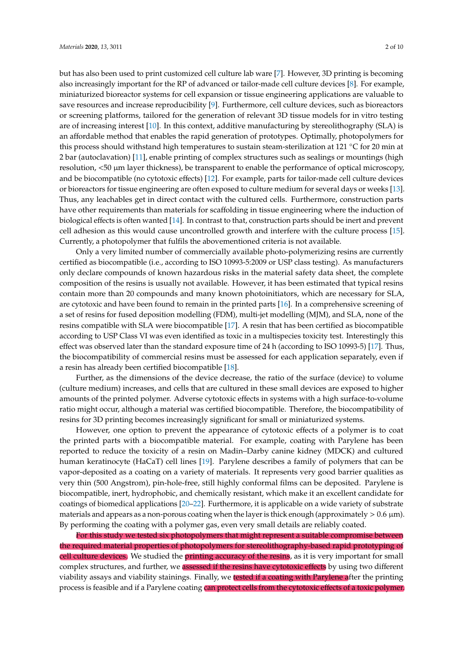but has also been used to print customized cell culture lab ware [\[7\]](#page-7-6). However, 3D printing is becoming also increasingly important for the RP of advanced or tailor-made cell culture devices [\[8\]](#page-8-0). For example, miniaturized bioreactor systems for cell expansion or tissue engineering applications are valuable to save resources and increase reproducibility [\[9\]](#page-8-1). Furthermore, cell culture devices, such as bioreactors or screening platforms, tailored for the generation of relevant 3D tissue models for in vitro testing are of increasing interest [\[10\]](#page-8-2). In this context, additive manufacturing by stereolithography (SLA) is an affordable method that enables the rapid generation of prototypes. Optimally, photopolymers for this process should withstand high temperatures to sustain steam-sterilization at 121 ◦C for 20 min at 2 bar (autoclavation) [\[11\]](#page-8-3), enable printing of complex structures such as sealings or mountings (high resolution, <50 µm layer thickness), be transparent to enable the performance of optical microscopy, and be biocompatible (no cytotoxic effects) [\[12\]](#page-8-4). For example, parts for tailor-made cell culture devices or bioreactors for tissue engineering are often exposed to culture medium for several days or weeks [\[13\]](#page-8-5). Thus, any leachables get in direct contact with the cultured cells. Furthermore, construction parts have other requirements than materials for scaffolding in tissue engineering where the induction of biological effects is often wanted [\[14\]](#page-8-6). In contrast to that, construction parts should be inert and prevent cell adhesion as this would cause uncontrolled growth and interfere with the culture process [\[15\]](#page-8-7). Currently, a photopolymer that fulfils the abovementioned criteria is not available.

Only a very limited number of commercially available photo-polymerizing resins are currently certified as biocompatible (i.e., according to ISO 10993-5:2009 or USP class testing). As manufacturers only declare compounds of known hazardous risks in the material safety data sheet, the complete composition of the resins is usually not available. However, it has been estimated that typical resins contain more than 20 compounds and many known photoinitiators, which are necessary for SLA, are cytotoxic and have been found to remain in the printed parts [\[16\]](#page-8-8). In a comprehensive screening of a set of resins for fused deposition modelling (FDM), multi-jet modelling (MJM), and SLA, none of the resins compatible with SLA were biocompatible [\[17\]](#page-8-9). A resin that has been certified as biocompatible according to USP Class VI was even identified as toxic in a multispecies toxicity test. Interestingly this effect was observed later than the standard exposure time of 24 h (according to ISO 10993-5) [\[17\]](#page-8-9). Thus, the biocompatibility of commercial resins must be assessed for each application separately, even if a resin has already been certified biocompatible [\[18\]](#page-8-10).

Further, as the dimensions of the device decrease, the ratio of the surface (device) to volume (culture medium) increases, and cells that are cultured in these small devices are exposed to higher amounts of the printed polymer. Adverse cytotoxic effects in systems with a high surface-to-volume ratio might occur, although a material was certified biocompatible. Therefore, the biocompatibility of resins for 3D printing becomes increasingly significant for small or miniaturized systems.

However, one option to prevent the appearance of cytotoxic effects of a polymer is to coat the printed parts with a biocompatible material. For example, coating with Parylene has been reported to reduce the toxicity of a resin on Madin–Darby canine kidney (MDCK) and cultured human keratinocyte (HaCaT) cell lines [\[19\]](#page-8-11). Parylene describes a family of polymers that can be vapor-deposited as a coating on a variety of materials. It represents very good barrier qualities as very thin (500 Angstrom), pin-hole-free, still highly conformal films can be deposited. Parylene is biocompatible, inert, hydrophobic, and chemically resistant, which make it an excellent candidate for coatings of biomedical applications [\[20–](#page-8-12)[22\]](#page-8-13). Furthermore, it is applicable on a wide variety of substrate materials and appears as a non-porous coating when the layer is thick enough (approximately  $> 0.6 \mu m$ ). By performing the coating with a polymer gas, even very small details are reliably coated.

For this study we tested six photopolymers that might represent a suitable compromise between the required material properties of photopolymers for stereolithography-based rapid prototyping of cell culture devices. We studied the printing accuracy of the resins, as it is very important for small complex structures, and further, we assessed if the resins have cytotoxic effects by using two different viability assays and viability stainings. Finally, we tested if a coating with Parylene after the printing process is feasible and if a Parylene coating can protect cells from the cytotoxic effects of a toxic polymer.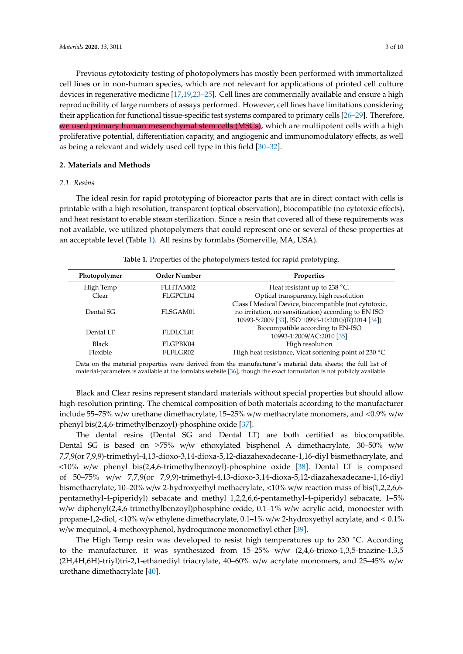Previous cytotoxicity testing of photopolymers has mostly been performed with immortalized cell lines or in non-human species, which are not relevant for applications of printed cell culture devices in regenerative medicine [\[17](#page-8-9)[,19,](#page-8-11)[23](#page-8-14)[–25\]](#page-8-15). Cell lines are commercially available and ensure a high reproducibility of large numbers of assays performed. However, cell lines have limitations considering their application for functional tissue-specific test systems compared to primary cells [\[26](#page-8-16)[–29\]](#page-9-0). Therefore, we used primary human mesenchymal stem cells (MSCs), which are multipotent cells with a high proliferative potential, differentiation capacity, and angiogenic and immunomodulatory effects, as well as being a relevant and widely used cell type in this field [\[30–](#page-9-1)[32\]](#page-9-2).

# **2. Materials and Methods**

# *2.1. Resins*

The ideal resin for rapid prototyping of bioreactor parts that are in direct contact with cells is printable with a high resolution, transparent (optical observation), biocompatible (no cytotoxic effects), and heat resistant to enable steam sterilization. Since a resin that covered all of these requirements was not available, we utilized photopolymers that could represent one or several of these properties at an acceptable level (Table [1\)](#page-2-0). All resins by formlabs (Somerville, MA, USA).

<span id="page-2-0"></span>

| Photopolymer | <b>Order Number</b> | <b>Properties</b>                                     |
|--------------|---------------------|-------------------------------------------------------|
| High Temp    | FLHTAM02            | Heat resistant up to 238 $^{\circ}$ C.                |
| Clear        | FLGPCL04            | Optical transparency, high resolution                 |
|              |                     | Class I Medical Device, biocompatible (not cytotoxic, |
| Dental SG    | FLSGAM01            | no irritation, no sensitization) according to EN ISO  |
|              |                     | 10993-5:2009 [33], ISO 10993-10:2010/(R)2014 [34])    |
| Dental LT    | FLDLCL01            | Biocompatible according to EN-ISO                     |
|              |                     | 10993-1:2009/AC:2010 [35]                             |
| <b>Black</b> | FLGPBK04            | High resolution                                       |
| Flexible     | FLFLGR02            | High heat resistance, Vicat softening point of 230 °C |

| Table 1. Properties of the photopolymers tested for rapid prototyping. |  |  |
|------------------------------------------------------------------------|--|--|
|------------------------------------------------------------------------|--|--|

Data on the material properties were derived from the manufacturer's material data sheets; the full list of material-parameters is available at the formlabs website [\[36\]](#page-9-6), though the exact formulation is not publicly available.

Black and Clear resins represent standard materials without special properties but should allow high-resolution printing. The chemical composition of both materials according to the manufacturer include 55–75% w/w urethane dimethacrylate, 15–25% w/w methacrylate monomers, and <0.9% w/w phenyl bis(2,4,6-trimethylbenzoyl)-phosphine oxide [\[37\]](#page-9-7).

The dental resins (Dental SG and Dental LT) are both certified as biocompatible. Dental SG is based on  $\geq 75\%$  w/w ethoxylated bisphenol A dimethacrylate, 30–50% w/w 7,7,9(or 7,9,9)-trimethyl-4,13-dioxo-3,14-dioxa-5,12-diazahexadecane-1,16-diyl bismethacrylate, and <10% w/w phenyl bis(2,4,6-trimethylbenzoyl)-phosphine oxide [\[38\]](#page-9-8). Dental LT is composed of 50–75% w/w 7,7,9(or 7,9,9)-trimethyl-4,13-dioxo-3,14-dioxa-5,12-diazahexadecane-1,16-diyl bismethacrylate, 10–20% w/w 2-hydroxyethyl methacrylate, <10% w/w reaction mass of bis(1,2,2,6,6 pentamethyl-4-piperidyl) sebacate and methyl 1,2,2,6,6-pentamethyl-4-piperidyl sebacate, 1–5% w/w diphenyl(2,4,6-trimethylbenzoyl)phosphine oxide, 0.1–1% w/w acrylic acid, monoester with propane-1,2-diol, <10% w/w ethylene dimethacrylate, 0.1–1% w/w 2-hydroxyethyl acrylate, and < 0.1% w/w mequinol, 4-methoxyphenol, hydroquinone monomethyl ether [\[39\]](#page-9-9).

The High Temp resin was developed to resist high temperatures up to 230 ◦C. According to the manufacturer, it was synthesized from 15–25% w/w (2,4,6-trioxo-1,3,5-triazine-1,3,5 (2H,4H,6H)-triyl)tri-2,1-ethanediyl triacrylate, 40–60% w/w acrylate monomers, and 25–45% w/w urethane dimethacrylate [\[40\]](#page-9-10).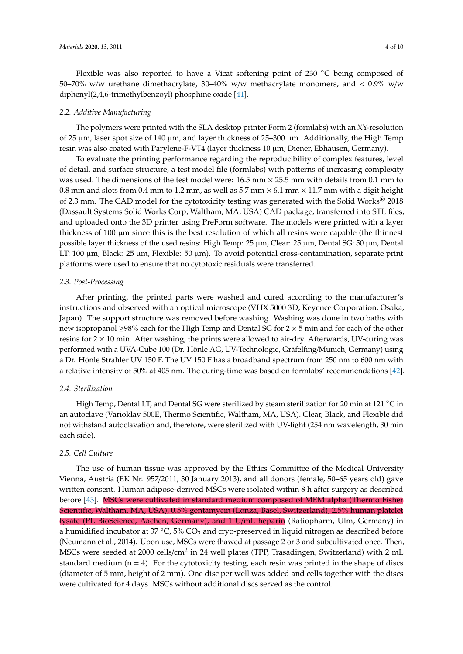Flexible was also reported to have a Vicat softening point of 230 ◦C being composed of 50–70% w/w urethane dimethacrylate, 30–40% w/w methacrylate monomers, and  $\lt$  0.9% w/w diphenyl(2,4,6-trimethylbenzoyl) phosphine oxide [\[41\]](#page-9-11).

#### *2.2. Additive Manufacturing*

The polymers were printed with the SLA desktop printer Form 2 (formlabs) with an XY-resolution of 25 µm, laser spot size of 140 µm, and layer thickness of 25–300 µm. Additionally, the High Temp resin was also coated with Parylene-F-VT4 (layer thickness 10 µm; Diener, Ebhausen, Germany).

To evaluate the printing performance regarding the reproducibility of complex features, level of detail, and surface structure, a test model file (formlabs) with patterns of increasing complexity was used. The dimensions of the test model were: 16.5 mm × 25.5 mm with details from 0.1 mm to 0.8 mm and slots from 0.4 mm to 1.2 mm, as well as 5.7 mm  $\times$  6.1 mm  $\times$  11.7 mm with a digit height of 2.3 mm. The CAD model for the cytotoxicity testing was generated with the Solid Works® 2018 (Dassault Systems Solid Works Corp, Waltham, MA, USA) CAD package, transferred into STL files, and uploaded onto the 3D printer using PreForm software. The models were printed with a layer thickness of 100 µm since this is the best resolution of which all resins were capable (the thinnest possible layer thickness of the used resins: High Temp: 25 µm, Clear: 25 µm, Dental SG: 50 µm, Dental LT: 100  $\mu$ m, Black: 25  $\mu$ m, Flexible: 50  $\mu$ m). To avoid potential cross-contamination, separate print platforms were used to ensure that no cytotoxic residuals were transferred.

# *2.3. Post-Processing*

After printing, the printed parts were washed and cured according to the manufacturer's instructions and observed with an optical microscope (VHX 5000 3D, Keyence Corporation, Osaka, Japan). The support structure was removed before washing. Washing was done in two baths with new isopropanol ≥98% each for the High Temp and Dental SG for 2 × 5 min and for each of the other resins for  $2 \times 10$  min. After washing, the prints were allowed to air-dry. Afterwards, UV-curing was performed with a UVA-Cube 100 (Dr. Hönle AG, UV-Technologie, Gräfelfing/Munich, Germany) using a Dr. Hönle Strahler UV 150 F. The UV 150 F has a broadband spectrum from 250 nm to 600 nm with a relative intensity of 50% at 405 nm. The curing-time was based on formlabs' recommendations [\[42\]](#page-9-12).

## *2.4. Sterilization*

High Temp, Dental LT, and Dental SG were sterilized by steam sterilization for 20 min at 121 ℃ in an autoclave (Varioklav 500E, Thermo Scientific, Waltham, MA, USA). Clear, Black, and Flexible did not withstand autoclavation and, therefore, were sterilized with UV-light (254 nm wavelength, 30 min each side).

# *2.5. Cell Culture*

The use of human tissue was approved by the Ethics Committee of the Medical University Vienna, Austria (EK Nr. 957/2011, 30 January 2013), and all donors (female, 50–65 years old) gave written consent. Human adipose-derived MSCs were isolated within 8 h after surgery as described before [\[43\]](#page-9-13). MSCs were cultivated in standard medium composed of MEM alpha (Thermo Fisher Scientific, Waltham, MA, USA), 0.5% gentamycin (Lonza, Basel, Switzerland), 2.5% human platelet lysate (PL BioScience, Aachen, Germany), and 1 U/mL heparin (Ratiopharm, Ulm, Germany) in a humidified incubator at 37  $\degree$ C, 5% CO<sub>2</sub> and cryo-preserved in liquid nitrogen as described before (Neumann et al., 2014). Upon use, MSCs were thawed at passage 2 or 3 and subcultivated once. Then, MSCs were seeded at 2000 cells/cm<sup>2</sup> in 24 well plates (TPP, Trasadingen, Switzerland) with 2 mL standard medium  $(n = 4)$ . For the cytotoxicity testing, each resin was printed in the shape of discs (diameter of 5 mm, height of 2 mm). One disc per well was added and cells together with the discs were cultivated for 4 days. MSCs without additional discs served as the control.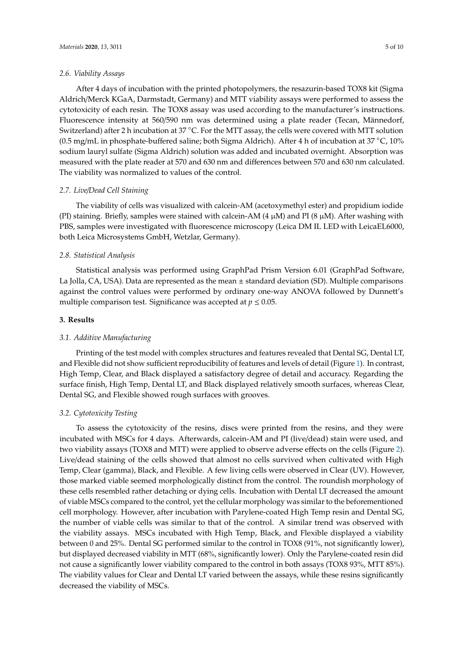#### *2.6. Viability Assays*

After 4 days of incubation with the printed photopolymers, the resazurin-based TOX8 kit (Sigma Aldrich/Merck KGaA, Darmstadt, Germany) and MTT viability assays were performed to assess the cytotoxicity of each resin. The TOX8 assay was used according to the manufacturer's instructions. Fluorescence intensity at 560/590 nm was determined using a plate reader (Tecan, Männedorf, Switzerland) after 2 h incubation at 37 ◦C. For the MTT assay, the cells were covered with MTT solution (0.5 mg/mL in phosphate-buffered saline; both Sigma Aldrich). After 4 h of incubation at  $37 °C$ ,  $10\%$ sodium lauryl sulfate (Sigma Aldrich) solution was added and incubated overnight. Absorption was measured with the plate reader at 570 and 630 nm and differences between 570 and 630 nm calculated. The viability was normalized to values of the control.

### *2.7. Live*/*Dead Cell Staining*

The viability of cells was visualized with calcein-AM (acetoxymethyl ester) and propidium iodide (PI) staining. Briefly, samples were stained with calcein-AM (4  $\mu$ M) and PI (8  $\mu$ M). After washing with PBS, samples were investigated with fluorescence microscopy (Leica DM IL LED with LeicaEL6000, both Leica Microsystems GmbH, Wetzlar, Germany).

#### *2.8. Statistical Analysis*

Statistical analysis was performed using GraphPad Prism Version 6.01 (GraphPad Software, La Jolla, CA, USA). Data are represented as the mean  $\pm$  standard deviation (SD). Multiple comparisons against the control values were performed by ordinary one-way ANOVA followed by Dunnett's multiple comparison test. Significance was accepted at  $p \leq 0.05$ .

## **3. Results**

## *3.1. Additive Manufacturing*

Printing of the test model with complex structures and features revealed that Dental SG, Dental LT, and Flexible did not show sufficient reproducibility of features and levels of detail (Figure [1\)](#page-5-0). In contrast, High Temp, Clear, and Black displayed a satisfactory degree of detail and accuracy. Regarding the surface finish, High Temp, Dental LT, and Black displayed relatively smooth surfaces, whereas Clear, Dental SG, and Flexible showed rough surfaces with grooves.

## *3.2. Cytotoxicity Testing*

To assess the cytotoxicity of the resins, discs were printed from the resins, and they were incubated with MSCs for 4 days. Afterwards, calcein-AM and PI (live/dead) stain were used, and two viability assays (TOX8 and MTT) were applied to observe adverse effects on the cells (Figure [2\)](#page-5-1). Live/dead staining of the cells showed that almost no cells survived when cultivated with High Temp, Clear (gamma), Black, and Flexible. A few living cells were observed in Clear (UV). However, those marked viable seemed morphologically distinct from the control. The roundish morphology of these cells resembled rather detaching or dying cells. Incubation with Dental LT decreased the amount of viable MSCs compared to the control, yet the cellular morphology was similar to the beforementioned cell morphology. However, after incubation with Parylene-coated High Temp resin and Dental SG, the number of viable cells was similar to that of the control. A similar trend was observed with the viability assays. MSCs incubated with High Temp, Black, and Flexible displayed a viability between 0 and 25%. Dental SG performed similar to the control in TOX8 (91%, not significantly lower), but displayed decreased viability in MTT (68%, significantly lower). Only the Parylene-coated resin did not cause a significantly lower viability compared to the control in both assays (TOX8 93%, MTT 85%). The viability values for Clear and Dental LT varied between the assays, while these resins significantly decreased the viability of MSCs.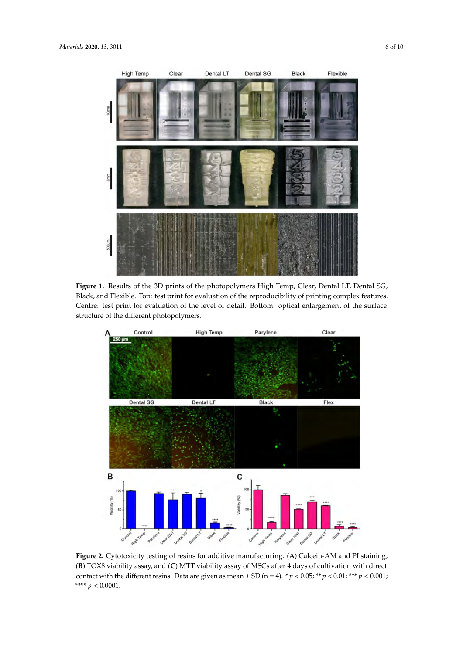<span id="page-5-0"></span>

**Figure 1.** Results of the 3D prints of the photopolymers High Temp, Clear, Dental LT, Dental SG, Black, and Flexible. Top: test print for evaluation of the reproducibility of printing complex features. Centre: test print for evaluation of the level of detail. Bottom: optical enlargement of the surface structure of the different photopolymers.

<span id="page-5-1"></span>

**Figure 2.** Cytotoxicity testing of resins for additive manufacturing. (**A**) Calcein-AM and PI staining, (**B**) TOX8 viability assay, and (**C**) MTT viability assay of MSCs after 4 days of cultivation with direct contact with the different resins. Data are given as mean  $\pm$  SD (n = 4). \*  $p < 0.05$ ; \*\*  $p < 0.01$ ; \*\*\*  $p < 0.001$ ; \*\*\*\* *p* < 0.0001.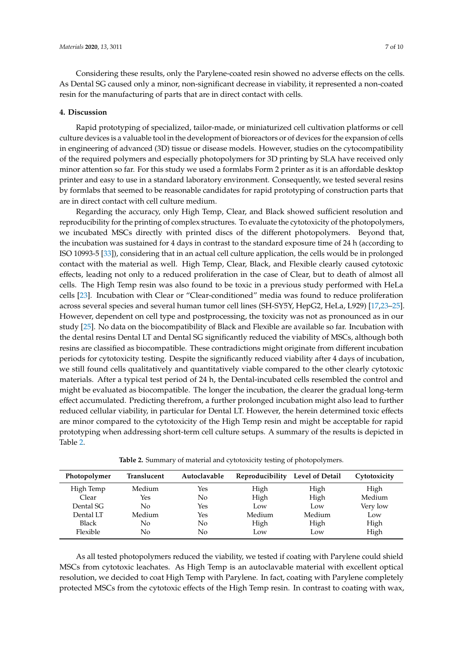Considering these results, only the Parylene-coated resin showed no adverse effects on the cells. As Dental SG caused only a minor, non-significant decrease in viability, it represented a non-coated resin for the manufacturing of parts that are in direct contact with cells.

### **4. Discussion**

Rapid prototyping of specialized, tailor-made, or miniaturized cell cultivation platforms or cell culture devices is a valuable tool in the development of bioreactors or of devices for the expansion of cells in engineering of advanced (3D) tissue or disease models. However, studies on the cytocompatibility of the required polymers and especially photopolymers for 3D printing by SLA have received only minor attention so far. For this study we used a formlabs Form 2 printer as it is an affordable desktop printer and easy to use in a standard laboratory environment. Consequently, we tested several resins by formlabs that seemed to be reasonable candidates for rapid prototyping of construction parts that are in direct contact with cell culture medium.

Regarding the accuracy, only High Temp, Clear, and Black showed sufficient resolution and reproducibility for the printing of complex structures. To evaluate the cytotoxicity of the photopolymers, we incubated MSCs directly with printed discs of the different photopolymers. Beyond that, the incubation was sustained for 4 days in contrast to the standard exposure time of 24 h (according to ISO 10993-5 [\[33\]](#page-9-3)), considering that in an actual cell culture application, the cells would be in prolonged contact with the material as well. High Temp, Clear, Black, and Flexible clearly caused cytotoxic effects, leading not only to a reduced proliferation in the case of Clear, but to death of almost all cells. The High Temp resin was also found to be toxic in a previous study performed with HeLa cells [\[23\]](#page-8-14). Incubation with Clear or "Clear-conditioned" media was found to reduce proliferation across several species and several human tumor cell lines (SH-SY5Y, HepG2, HeLa, L929) [\[17,](#page-8-9)[23–](#page-8-14)[25\]](#page-8-15). However, dependent on cell type and postprocessing, the toxicity was not as pronounced as in our study [\[25\]](#page-8-15). No data on the biocompatibility of Black and Flexible are available so far. Incubation with the dental resins Dental LT and Dental SG significantly reduced the viability of MSCs, although both resins are classified as biocompatible. These contradictions might originate from different incubation periods for cytotoxicity testing. Despite the significantly reduced viability after 4 days of incubation, we still found cells qualitatively and quantitatively viable compared to the other clearly cytotoxic materials. After a typical test period of 24 h, the Dental-incubated cells resembled the control and might be evaluated as biocompatible. The longer the incubation, the clearer the gradual long-term effect accumulated. Predicting therefrom, a further prolonged incubation might also lead to further reduced cellular viability, in particular for Dental LT. However, the herein determined toxic effects are minor compared to the cytotoxicity of the High Temp resin and might be acceptable for rapid prototyping when addressing short-term cell culture setups. A summary of the results is depicted in Table [2.](#page-6-0)

<span id="page-6-0"></span>**Photopolymer Translucent Autoclavable Reproducibility Level of Detail Cytotoxicity** High Temp Medium Yes High High High Clear Yes No High High Medium Dental SG No Yes Low Low Very low Dental LT Medium Yes Medium Medium Low Black No No High High High Flexible No No Low Low High

**Table 2.** Summary of material and cytotoxicity testing of photopolymers.

As all tested photopolymers reduced the viability, we tested if coating with Parylene could shield MSCs from cytotoxic leachates. As High Temp is an autoclavable material with excellent optical resolution, we decided to coat High Temp with Parylene. In fact, coating with Parylene completely protected MSCs from the cytotoxic effects of the High Temp resin. In contrast to coating with wax,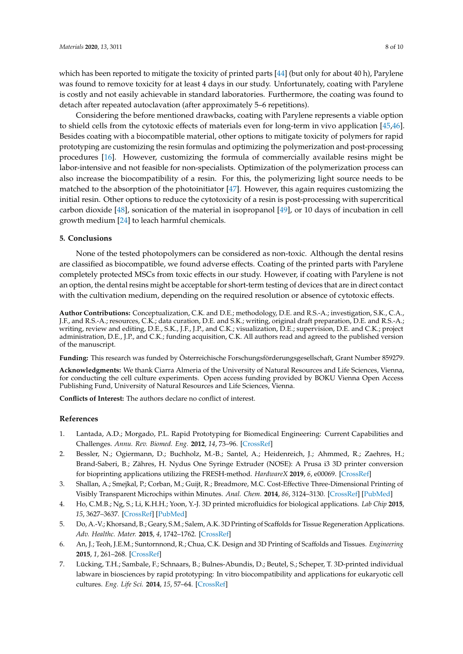which has been reported to mitigate the toxicity of printed parts [\[44\]](#page-9-14) (but only for about 40 h), Parylene was found to remove toxicity for at least 4 days in our study. Unfortunately, coating with Parylene is costly and not easily achievable in standard laboratories. Furthermore, the coating was found to detach after repeated autoclavation (after approximately 5–6 repetitions).

Considering the before mentioned drawbacks, coating with Parylene represents a viable option to shield cells from the cytotoxic effects of materials even for long-term in vivo application [\[45,](#page-9-15)[46\]](#page-9-16). Besides coating with a biocompatible material, other options to mitigate toxicity of polymers for rapid prototyping are customizing the resin formulas and optimizing the polymerization and post-processing procedures [\[16\]](#page-8-8). However, customizing the formula of commercially available resins might be labor-intensive and not feasible for non-specialists. Optimization of the polymerization process can also increase the biocompatibility of a resin. For this, the polymerizing light source needs to be matched to the absorption of the photoinitiator [\[47\]](#page-9-17). However, this again requires customizing the initial resin. Other options to reduce the cytotoxicity of a resin is post-processing with supercritical carbon dioxide [\[48\]](#page-9-18), sonication of the material in isopropanol [\[49\]](#page-9-19), or 10 days of incubation in cell growth medium [\[24\]](#page-8-17) to leach harmful chemicals.

#### **5. Conclusions**

None of the tested photopolymers can be considered as non-toxic. Although the dental resins are classified as biocompatible, we found adverse effects. Coating of the printed parts with Parylene completely protected MSCs from toxic effects in our study. However, if coating with Parylene is not an option, the dental resins might be acceptable for short-term testing of devices that are in direct contact with the cultivation medium, depending on the required resolution or absence of cytotoxic effects.

**Author Contributions:** Conceptualization, C.K. and D.E.; methodology, D.E. and R.S.-A.; investigation, S.K., C.A., J.F., and R.S.-A.; resources, C.K.; data curation, D.E. and S.K.; writing, original draft preparation, D.E. and R.S.-A.; writing, review and editing, D.E., S.K., J.F., J.P., and C.K.; visualization, D.E.; supervision, D.E. and C.K.; project administration, D.E., J.P., and C.K.; funding acquisition, C.K. All authors read and agreed to the published version of the manuscript.

**Funding:** This research was funded by Österreichische Forschungsförderungsgesellschaft, Grant Number 859279.

**Acknowledgments:** We thank Ciarra Almeria of the University of Natural Resources and Life Sciences, Vienna, for conducting the cell culture experiments. Open access funding provided by BOKU Vienna Open Access Publishing Fund, University of Natural Resources and Life Sciences, Vienna.

**Conflicts of Interest:** The authors declare no conflict of interest.

#### **References**

- <span id="page-7-0"></span>1. Lantada, A.D.; Morgado, P.L. Rapid Prototyping for Biomedical Engineering: Current Capabilities and Challenges. *Annu. Rev. Biomed. Eng.* **2012**, *14*, 73–96. [\[CrossRef\]](http://dx.doi.org/10.1146/annurev-bioeng-071811-150112)
- <span id="page-7-1"></span>2. Bessler, N.; Ogiermann, D.; Buchholz, M.-B.; Santel, A.; Heidenreich, J.; Ahmmed, R.; Zaehres, H.; Brand-Saberi, B.; Zähres, H. Nydus One Syringe Extruder (NOSE): A Prusa i3 3D printer conversion for bioprinting applications utilizing the FRESH-method. *HardwareX* **2019**, *6*, e00069. [\[CrossRef\]](http://dx.doi.org/10.1016/j.ohx.2019.e00069)
- <span id="page-7-2"></span>3. Shallan, A.; Smejkal, P.; Corban, M.; Guijt, R.; Breadmore, M.C. Cost-Effective Three-Dimensional Printing of Visibly Transparent Microchips within Minutes. *Anal. Chem.* **2014**, *86*, 3124–3130. [\[CrossRef\]](http://dx.doi.org/10.1021/ac4041857) [\[PubMed\]](http://www.ncbi.nlm.nih.gov/pubmed/24512498)
- <span id="page-7-3"></span>4. Ho, C.M.B.; Ng, S.; Li, K.H.H.; Yoon, Y.-J. 3D printed microfluidics for biological applications. *Lab Chip* **2015**, *15*, 3627–3637. [\[CrossRef\]](http://dx.doi.org/10.1039/C5LC00685F) [\[PubMed\]](http://www.ncbi.nlm.nih.gov/pubmed/26237523)
- <span id="page-7-4"></span>5. Do, A.-V.; Khorsand, B.; Geary, S.M.; Salem, A.K. 3D Printing of Scaffolds for Tissue Regeneration Applications. *Adv. Healthc. Mater.* **2015**, *4*, 1742–1762. [\[CrossRef\]](http://dx.doi.org/10.1002/adhm.201500168)
- <span id="page-7-5"></span>6. An, J.; Teoh, J.E.M.; Suntornnond, R.; Chua, C.K. Design and 3D Printing of Scaffolds and Tissues. *Engineering* **2015**, *1*, 261–268. [\[CrossRef\]](http://dx.doi.org/10.15302/J-ENG-2015061)
- <span id="page-7-6"></span>7. Lücking, T.H.; Sambale, F.; Schnaars, B.; Bulnes-Abundis, D.; Beutel, S.; Scheper, T. 3D-printed individual labware in biosciences by rapid prototyping: In vitro biocompatibility and applications for eukaryotic cell cultures. *Eng. Life Sci.* **2014**, *15*, 57–64. [\[CrossRef\]](http://dx.doi.org/10.1002/elsc.201400094)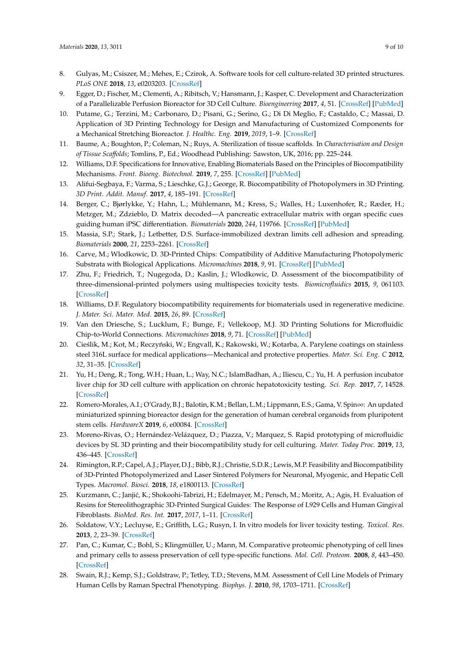- <span id="page-8-0"></span>8. Gulyas, M.; Csiszer, M.; Mehes, E.; Czirok, A. Software tools for cell culture-related 3D printed structures. *PLoS ONE* **2018**, *13*, e0203203. [\[CrossRef\]](http://dx.doi.org/10.1371/journal.pone.0203203)
- <span id="page-8-1"></span>9. Egger, D.; Fischer, M.; Clementi, A.; Ribitsch, V.; Hansmann, J.; Kasper, C. Development and Characterization of a Parallelizable Perfusion Bioreactor for 3D Cell Culture. *Bioengineering* **2017**, *4*, 51. [\[CrossRef\]](http://dx.doi.org/10.3390/bioengineering4020051) [\[PubMed\]](http://www.ncbi.nlm.nih.gov/pubmed/28952530)
- <span id="page-8-2"></span>10. Putame, G.; Terzini, M.; Carbonaro, D.; Pisani, G.; Serino, G.; Di Di Meglio, F.; Castaldo, C.; Massai, D. Application of 3D Printing Technology for Design and Manufacturing of Customized Components for a Mechanical Stretching Bioreactor. *J. Healthc. Eng.* **2019**, *2019*, 1–9. [\[CrossRef\]](http://dx.doi.org/10.1155/2019/3957931)
- <span id="page-8-3"></span>11. Baume, A.; Boughton, P.; Coleman, N.; Ruys, A. Sterilization of tissue scaffolds. In *Characterisation and Design of Tissue Sca*ff*olds*; Tomlins, P., Ed.; Woodhead Publishing: Sawston, UK, 2016; pp. 225–244.
- <span id="page-8-4"></span>12. Williams, D.F. Specifications for Innovative, Enabling Biomaterials Based on the Principles of Biocompatibility Mechanisms. *Front. Bioeng. Biotechnol.* **2019**, *7*, 255. [\[CrossRef\]](http://dx.doi.org/10.3389/fbioe.2019.00255) [\[PubMed\]](http://www.ncbi.nlm.nih.gov/pubmed/31649926)
- <span id="page-8-5"></span>13. Alifui-Segbaya, F.; Varma, S.; Lieschke, G.J.; George, R. Biocompatibility of Photopolymers in 3D Printing. *3D Print. Addit. Manuf.* **2017**, *4*, 185–191. [\[CrossRef\]](http://dx.doi.org/10.1089/3dp.2017.0064)
- <span id="page-8-6"></span>14. Berger, C.; Bjørlykke, Y.; Hahn, L.; Mühlemann, M.; Kress, S.; Walles, H.; Luxenhofer, R.; Ræder, H.; Metzger, M.; Zdzieblo, D. Matrix decoded—A pancreatic extracellular matrix with organ specific cues guiding human iPSC differentiation. *Biomaterials* **2020**, *244*, 119766. [\[CrossRef\]](http://dx.doi.org/10.1016/j.biomaterials.2020.119766) [\[PubMed\]](http://www.ncbi.nlm.nih.gov/pubmed/32199284)
- <span id="page-8-7"></span>15. Massia, S.P.; Stark, J.; Letbetter, D.S. Surface-immobilized dextran limits cell adhesion and spreading. *Biomaterials* **2000**, *21*, 2253–2261. [\[CrossRef\]](http://dx.doi.org/10.1016/S0142-9612(00)00151-4)
- <span id="page-8-8"></span>16. Carve, M.; Wlodkowic, D. 3D-Printed Chips: Compatibility of Additive Manufacturing Photopolymeric Substrata with Biological Applications. *Micromachines* **2018**, *9*, 91. [\[CrossRef\]](http://dx.doi.org/10.3390/mi9020091) [\[PubMed\]](http://www.ncbi.nlm.nih.gov/pubmed/30393367)
- <span id="page-8-9"></span>17. Zhu, F.; Friedrich, T.; Nugegoda, D.; Kaslin, J.; Wlodkowic, D. Assessment of the biocompatibility of three-dimensional-printed polymers using multispecies toxicity tests. *Biomicrofluidics* **2015**, *9*, 061103. [\[CrossRef\]](http://dx.doi.org/10.1063/1.4939031)
- <span id="page-8-10"></span>18. Williams, D.F. Regulatory biocompatibility requirements for biomaterials used in regenerative medicine. *J. Mater. Sci. Mater. Med.* **2015**, *26*, 89. [\[CrossRef\]](http://dx.doi.org/10.1007/s10856-015-5421-7)
- <span id="page-8-11"></span>19. Van den Driesche, S.; Lucklum, F.; Bunge, F.; Vellekoop, M.J. 3D Printing Solutions for Microfluidic Chip-to-World Connections. *Micromachines* **2018**, *9*, 71. [\[CrossRef\]](http://dx.doi.org/10.3390/mi9020071) [\[PubMed\]](http://www.ncbi.nlm.nih.gov/pubmed/30393347)
- <span id="page-8-12"></span>20. Cieślik, M.; Kot, M.; Reczyński, W.; Engvall, K.; Rakowski, W.; Kotarba, A. Parylene coatings on stainless steel 316L surface for medical applications—Mechanical and protective properties. *Mater. Sci. Eng. C* **2012**, *32*, 31–35. [\[CrossRef\]](http://dx.doi.org/10.1016/j.msec.2011.09.007)
- 21. Yu, H.; Deng, R.; Tong, W.H.; Huan, L.; Way, N.C.; IslamBadhan, A.; Iliescu, C.; Yu, H. A perfusion incubator liver chip for 3D cell culture with application on chronic hepatotoxicity testing. *Sci. Rep.* **2017**, *7*, 14528. [\[CrossRef\]](http://dx.doi.org/10.1038/s41598-017-13848-5)
- <span id="page-8-13"></span>22. Romero-Morales, A.I.; O'Grady, B.J.; Balotin, K.M.; Bellan, L.M.; Lippmann, E.S.; Gama, V. Spin∞: An updated miniaturized spinning bioreactor design for the generation of human cerebral organoids from pluripotent stem cells. *HardwareX* **2019**, *6*, e00084. [\[CrossRef\]](http://dx.doi.org/10.1016/j.ohx.2019.e00084)
- <span id="page-8-14"></span>23. Moreno-Rivas, O.; Hernández-Velázquez, D.; Piazza, V.; Marquez, S. Rapid prototyping of microfluidic devices by SL 3D printing and their biocompatibility study for cell culturing. *Mater. Today Proc.* **2019**, *13*, 436–445. [\[CrossRef\]](http://dx.doi.org/10.1016/j.matpr.2019.03.189)
- <span id="page-8-17"></span>24. Rimington, R.P.; Capel, A.J.; Player, D.J.; Bibb, R.J.; Christie, S.D.R.; Lewis, M.P. Feasibility and Biocompatibility of 3D-Printed Photopolymerized and Laser Sintered Polymers for Neuronal, Myogenic, and Hepatic Cell Types. *Macromol. Biosci.* **2018**, *18*, e1800113. [\[CrossRef\]](http://dx.doi.org/10.1002/mabi.201800113)
- <span id="page-8-15"></span>25. Kurzmann, C.; Janjić, K.; Shokoohi-Tabrizi, H.; Edelmayer, M.; Pensch, M.; Moritz, A.; Agis, H. Evaluation of Resins for Stereolithographic 3D-Printed Surgical Guides: The Response of L929 Cells and Human Gingival Fibroblasts. *BioMed. Res. Int.* **2017**, *2017*, 1–11. [\[CrossRef\]](http://dx.doi.org/10.1155/2017/4057612)
- <span id="page-8-16"></span>26. Soldatow, V.Y.; Lecluyse, E.; Griffith, L.G.; Rusyn, I. In vitro models for liver toxicity testing. *Toxicol. Res.* **2013**, *2*, 23–39. [\[CrossRef\]](http://dx.doi.org/10.1039/C2TX20051A)
- 27. Pan, C.; Kumar, C.; Bohl, S.; Klingmüller, U.; Mann, M. Comparative proteomic phenotyping of cell lines and primary cells to assess preservation of cell type-specific functions. *Mol. Cell. Proteom.* **2008**, *8*, 443–450. [\[CrossRef\]](http://dx.doi.org/10.1074/mcp.M800258-MCP200)
- 28. Swain, R.J.; Kemp, S.J.; Goldstraw, P.; Tetley, T.D.; Stevens, M.M. Assessment of Cell Line Models of Primary Human Cells by Raman Spectral Phenotyping. *Biophys. J.* **2010**, *98*, 1703–1711. [\[CrossRef\]](http://dx.doi.org/10.1016/j.bpj.2009.12.4289)